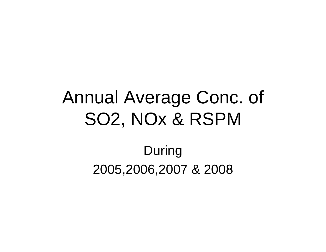## Annual Average Conc. of SO2, NOx & RSPM

## During 2005,2006,2007 & 2008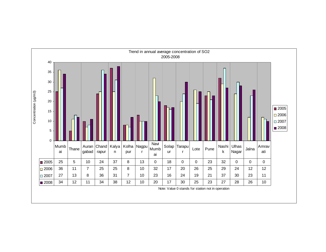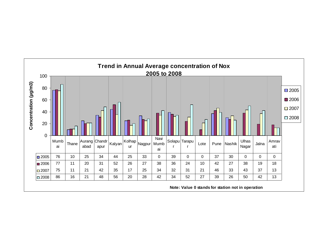